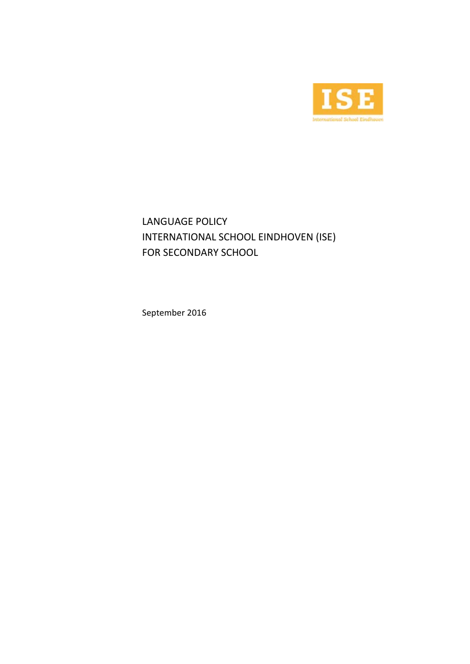

LANGUAGE POLICY INTERNATIONAL SCHOOL EINDHOVEN (ISE) FOR SECONDARY SCHOOL

September 2016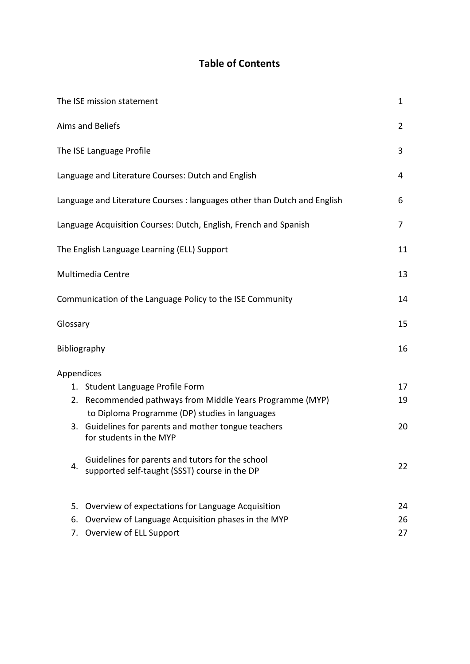# **Table of Contents**

|            | The ISE mission statement                                                                                | $\mathbf{1}$   |
|------------|----------------------------------------------------------------------------------------------------------|----------------|
|            | Aims and Beliefs                                                                                         | $\overline{2}$ |
|            | The ISE Language Profile                                                                                 | 3              |
|            | Language and Literature Courses: Dutch and English                                                       | 4              |
|            | Language and Literature Courses : languages other than Dutch and English                                 | 6              |
|            | Language Acquisition Courses: Dutch, English, French and Spanish                                         | 7              |
|            | The English Language Learning (ELL) Support                                                              | 11             |
|            | Multimedia Centre                                                                                        | 13             |
|            | Communication of the Language Policy to the ISE Community                                                | 14             |
| Glossary   |                                                                                                          | 15             |
|            | Bibliography                                                                                             | 16             |
| Appendices |                                                                                                          |                |
|            | 1. Student Language Profile Form                                                                         | 17             |
| 2.         | Recommended pathways from Middle Years Programme (MYP)<br>to Diploma Programme (DP) studies in languages | 19             |
|            | 3. Guidelines for parents and mother tongue teachers<br>for students in the MYP                          | 20             |
| 4.         | Guidelines for parents and tutors for the school<br>supported self-taught (SSST) course in the DP        | 22             |
| 5.         | Overview of expectations for Language Acquisition                                                        | 24             |
| 6.         | Overview of Language Acquisition phases in the MYP                                                       | 26             |
| 7.         | Overview of ELL Support                                                                                  | 27             |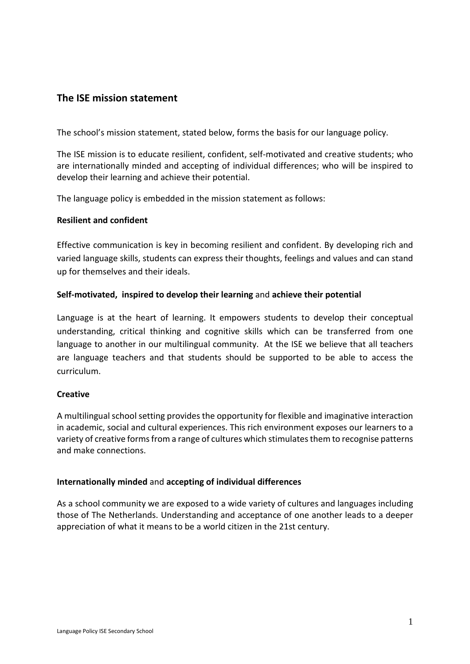## **The ISE mission statement**

The school's mission statement, stated below, forms the basis for our language policy.

The ISE mission is to educate resilient, confident, self-motivated and creative students; who are internationally minded and accepting of individual differences; who will be inspired to develop their learning and achieve their potential.

The language policy is embedded in the mission statement as follows:

#### **Resilient and confident**

Effective communication is key in becoming resilient and confident. By developing rich and varied language skills, students can express their thoughts, feelings and values and can stand up for themselves and their ideals.

## **Self-motivated, inspired to develop their learning** and **achieve their potential**

Language is at the heart of learning. It empowers students to develop their conceptual understanding, critical thinking and cognitive skills which can be transferred from one language to another in our multilingual community. At the ISE we believe that all teachers are language teachers and that students should be supported to be able to access the curriculum.

#### **Creative**

A multilingual school setting provides the opportunity for flexible and imaginative interaction in academic, social and cultural experiences. This rich environment exposes our learners to a variety of creative forms from a range of cultures which stimulates them to recognise patterns and make connections.

#### **Internationally minded** and **accepting of individual differences**

As a school community we are exposed to a wide variety of cultures and languages including those of The Netherlands. Understanding and acceptance of one another leads to a deeper appreciation of what it means to be a world citizen in the 21st century.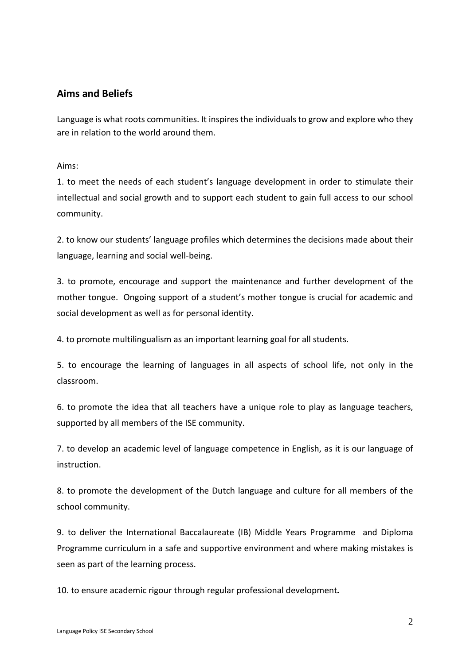## **Aims and Beliefs**

Language is what roots communities. It inspires the individuals to grow and explore who they are in relation to the world around them.

Aims:

1. to meet the needs of each student's language development in order to stimulate their intellectual and social growth and to support each student to gain full access to our school community.

2. to know our students' language profiles which determines the decisions made about their language, learning and social well-being.

3. to promote, encourage and support the maintenance and further development of the mother tongue. Ongoing support of a student's mother tongue is crucial for academic and social development as well as for personal identity.

4. to promote multilingualism as an important learning goal for all students.

5. to encourage the learning of languages in all aspects of school life, not only in the classroom.

6. to promote the idea that all teachers have a unique role to play as language teachers, supported by all members of the ISE community.

7. to develop an academic level of language competence in English, as it is our language of instruction.

8. to promote the development of the Dutch language and culture for all members of the school community.

9. to deliver the International Baccalaureate (IB) Middle Years Programme and Diploma Programme curriculum in a safe and supportive environment and where making mistakes is seen as part of the learning process.

10. to ensure academic rigour through regular professional development*.*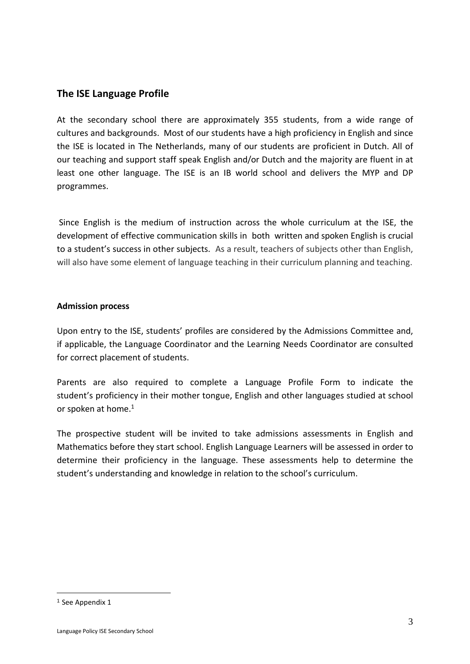## **The ISE Language Profile**

At the secondary school there are approximately 355 students, from a wide range of cultures and backgrounds. Most of our students have a high proficiency in English and since the ISE is located in The Netherlands, many of our students are proficient in Dutch. All of our teaching and support staff speak English and/or Dutch and the majority are fluent in at least one other language. The ISE is an IB world school and delivers the MYP and DP programmes.

Since English is the medium of instruction across the whole curriculum at the ISE, the development of effective communication skills in both written and spoken English is crucial to a student's success in other subjects. As a result, teachers of subjects other than English, will also have some element of language teaching in their curriculum planning and teaching.

## **Admission process**

Upon entry to the ISE, students' profiles are considered by the Admissions Committee and, if applicable, the Language Coordinator and the Learning Needs Coordinator are consulted for correct placement of students.

Parents are also required to complete a Language Profile Form to indicate the student's proficiency in their mother tongue, English and other languages studied at school or spoken at home.<sup>[1](#page-6-0)</sup>

The prospective student will be invited to take admissions assessments in English and Mathematics before they start school. English Language Learners will be assessed in order to determine their proficiency in the language. These assessments help to determine the student's understanding and knowledge in relation to the school's curriculum.

<span id="page-6-0"></span><sup>1</sup> See Appendix 1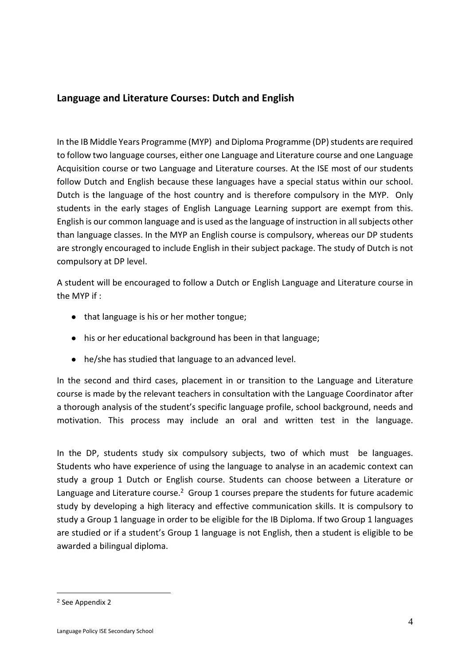## **Language and Literature Courses: Dutch and English**

In the IB Middle Years Programme (MYP) and Diploma Programme (DP) students are required to follow two language courses, either one Language and Literature course and one Language Acquisition course or two Language and Literature courses. At the ISE most of our students follow Dutch and English because these languages have a special status within our school. Dutch is the language of the host country and is therefore compulsory in the MYP. Only students in the early stages of English Language Learning support are exempt from this. English is our common language and is used asthe language of instruction in allsubjects other than language classes. In the MYP an English course is compulsory, whereas our DP students are strongly encouraged to include English in their subject package. The study of Dutch is not compulsory at DP level.

A student will be encouraged to follow a Dutch or English Language and Literature course in the MYP if :

- that language is his or her mother tongue;
- his or her educational background has been in that language;
- he/she has studied that language to an advanced level.

In the second and third cases, placement in or transition to the Language and Literature course is made by the relevant teachers in consultation with the Language Coordinator after a thorough analysis of the student's specific language profile, school background, needs and motivation. This process may include an oral and written test in the language.

In the DP, students study six compulsory subjects, two of which must be languages. Students who have experience of using the language to analyse in an academic context can study a group 1 Dutch or English course. Students can choose between a Literature or Language and Lite[ra](#page-7-0)ture course.<sup>2</sup> Group 1 courses prepare the students for future academic study by developing a high literacy and effective communication skills. It is compulsory to study a Group 1 language in order to be eligible for the IB Diploma. If two Group 1 languages are studied or if a student's Group 1 language is not English, then a student is eligible to be awarded a bilingual diploma.

<span id="page-7-0"></span><sup>2</sup> See Appendix 2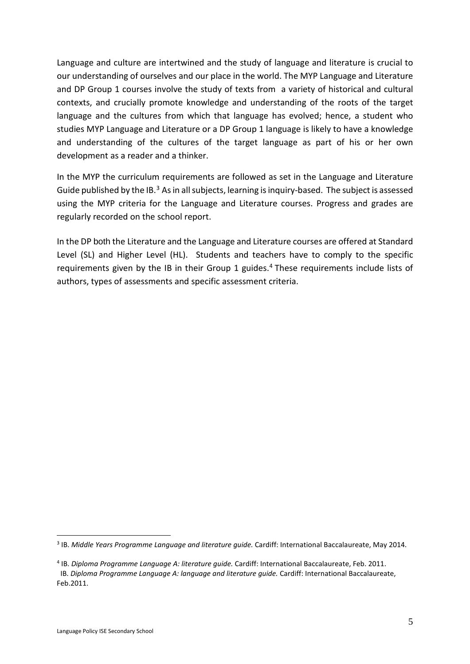Language and culture are intertwined and the study of language and literature is crucial to our understanding of ourselves and our place in the world. The MYP Language and Literature and DP Group 1 courses involve the study of texts from a variety of historical and cultural contexts, and crucially promote knowledge and understanding of the roots of the target language and the cultures from which that language has evolved; hence, a student who studies MYP Language and Literature or a DP Group 1 language is likely to have a knowledge and understanding of the cultures of the target language as part of his or her own development as a reader and a thinker.

In the MYP the curriculum requirements are followed as set in the Language and Literature Guide published by the IB. $3$  As in all subjects, learning is inquiry-based. The subject is assessed using the MYP criteria for the Language and Literature courses. Progress and grades are regularly recorded on the school report.

In the DP both the Literature and the Language and Literature courses are offered at Standard Level (SL) and Higher Level (HL). Students and teachers have to comply to the specific requirements given by the IB in their Group 1 guides. [4](#page-8-1) These requirements include lists of authors, types of assessments and specific assessment criteria.

<span id="page-8-0"></span><sup>3</sup> IB. *Middle Years Programme Language and literature guide.* Cardiff: International Baccalaureate, May 2014.

<span id="page-8-1"></span><sup>4</sup> IB. *Diploma Programme Language A: literature guide.* Cardiff: International Baccalaureate, Feb. 2011. IB. *Diploma Programme Language A: language and literature guide.* Cardiff: International Baccalaureate, Feb.2011.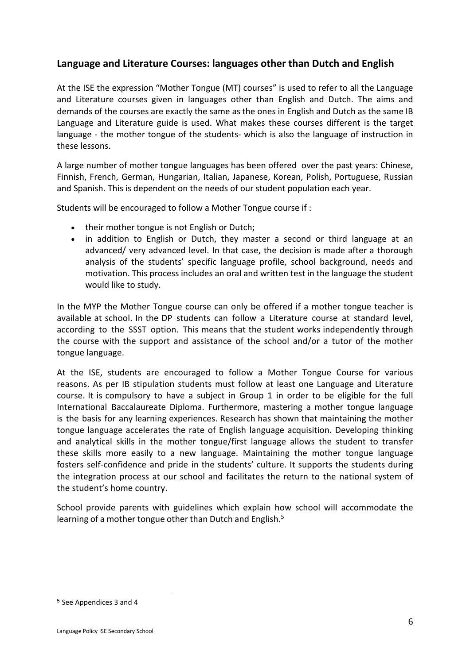## **Language and Literature Courses: languages other than Dutch and English**

At the ISE the expression "Mother Tongue (MT) courses" is used to refer to all the Language and Literature courses given in languages other than English and Dutch. The aims and demands of the courses are exactly the same as the ones in English and Dutch as the same IB Language and Literature guide is used. What makes these courses different is the target language - the mother tongue of the students- which is also the language of instruction in these lessons.

A large number of mother tongue languages has been offered over the past years: Chinese, Finnish, French, German, Hungarian, Italian, Japanese, Korean, Polish, Portuguese, Russian and Spanish. This is dependent on the needs of our student population each year.

Students will be encouraged to follow a Mother Tongue course if :

- their mother tongue is not English or Dutch;
- in addition to English or Dutch, they master a second or third language at an advanced/ very advanced level. In that case, the decision is made after a thorough analysis of the students' specific language profile, school background, needs and motivation. This process includes an oral and written test in the language the student would like to study.

In the MYP the Mother Tongue course can only be offered if a mother tongue teacher is available at school. In the DP students can follow a Literature course at standard level, according to the SSST option. This means that the student works independently through the course with the support and assistance of the school and/or a tutor of the mother tongue language.

At the ISE, students are encouraged to follow a Mother Tongue Course for various reasons. As per IB stipulation students must follow at least one Language and Literature course. It is compulsory to have a subject in Group 1 in order to be eligible for the full International Baccalaureate Diploma. Furthermore, mastering a mother tongue language is the basis for any learning experiences. Research has shown that maintaining the mother tongue language accelerates the rate of English language acquisition. Developing thinking and analytical skills in the mother tongue/first language allows the student to transfer these skills more easily to a new language. Maintaining the mother tongue language fosters self-confidence and pride in the students' culture. It supports the students during the integration process at our school and facilitates the return to the national system of the student's home country.

School provide parents with guidelines which explain how school will accommodate the learning of a mother tongue other than Dutch and English. [5](#page-9-0)

<span id="page-9-0"></span><sup>5</sup> See Appendices 3 and 4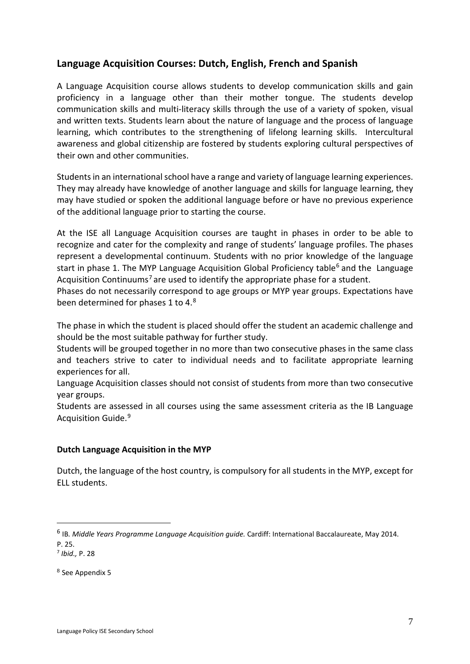## **Language Acquisition Courses: Dutch, English, French and Spanish**

A Language Acquisition course allows students to develop communication skills and gain proficiency in a language other than their mother tongue. The students develop communication skills and multi-literacy skills through the use of a variety of spoken, visual and written texts. Students learn about the nature of language and the process of language learning, which contributes to the strengthening of lifelong learning skills. Intercultural awareness and global citizenship are fostered by students exploring cultural perspectives of their own and other communities.

Students in an international school have a range and variety of language learning experiences. They may already have knowledge of another language and skills for language learning, they may have studied or spoken the additional language before or have no previous experience of the additional language prior to starting the course.

At the ISE all Language Acquisition courses are taught in phases in order to be able to recognize and cater for the complexity and range of students' language profiles. The phases represent a developmental continuum. Students with no prior knowledge of the language start in phase 1. The MYP Language Acquisition Global Proficiency table<sup>[6](#page-10-0)</sup> and the Language Acquisition Continuums<sup>[7](#page-10-1)</sup> are used to identify the appropriate phase for a student.

Phases do not necessarily correspond to age groups or MYP year groups. Expectations have been determined for phases 1 to 4.[8](#page-10-2)

The phase in which the student is placed should offer the student an academic challenge and should be the most suitable pathway for further study.

Students will be grouped together in no more than two consecutive phases in the same class and teachers strive to cater to individual needs and to facilitate appropriate learning experiences for all.

Language Acquisition classes should not consist of students from more than two consecutive year groups.

Students are assessed in all courses using the same assessment criteria as the IB Language Acquisition Guide. [9](#page-10-3)

## **Dutch Language Acquisition in the MYP**

Dutch, the language of the host country, is compulsory for all students in the MYP, except for ELL students.

<span id="page-10-0"></span><sup>6</sup> IB*. Middle Years Programme Language Acquisition guide.* Cardiff: International Baccalaureate, May 2014. P. 25.

<span id="page-10-1"></span><sup>7</sup> *Ibid.,* P. 28

<span id="page-10-3"></span><span id="page-10-2"></span><sup>8</sup> See Appendix 5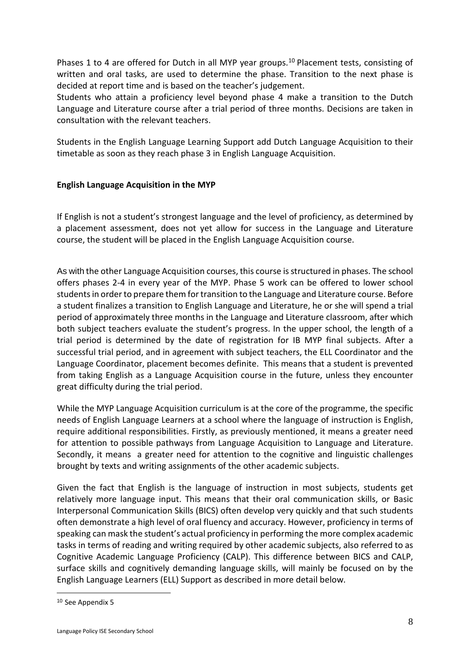Phases 1 to 4 are offered for Dutch in all MYP year groups.<sup>[10](#page-11-0)</sup> Placement tests, consisting of written and oral tasks, are used to determine the phase. Transition to the next phase is decided at report time and is based on the teacher's judgement.

Students who attain a proficiency level beyond phase 4 make a transition to the Dutch Language and Literature course after a trial period of three months. Decisions are taken in consultation with the relevant teachers.

Students in the English Language Learning Support add Dutch Language Acquisition to their timetable as soon as they reach phase 3 in English Language Acquisition.

## **English Language Acquisition in the MYP**

If English is not a student's strongest language and the level of proficiency, as determined by a placement assessment, does not yet allow for success in the Language and Literature course, the student will be placed in the English Language Acquisition course.

As with the other Language Acquisition courses, this course is structured in phases. The school offers phases 2-4 in every year of the MYP. Phase 5 work can be offered to lower school studentsin orderto prepare them fortransition to the Language and Literature course. Before a student finalizes a transition to English Language and Literature, he or she will spend a trial period of approximately three months in the Language and Literature classroom, after which both subject teachers evaluate the student's progress. In the upper school, the length of a trial period is determined by the date of registration for IB MYP final subjects. After a successful trial period, and in agreement with subject teachers, the ELL Coordinator and the Language Coordinator, placement becomes definite. This means that a student is prevented from taking English as a Language Acquisition course in the future, unless they encounter great difficulty during the trial period.

While the MYP Language Acquisition curriculum is at the core of the programme, the specific needs of English Language Learners at a school where the language of instruction is English, require additional responsibilities. Firstly, as previously mentioned, it means a greater need for attention to possible pathways from Language Acquisition to Language and Literature. Secondly, it means a greater need for attention to the cognitive and linguistic challenges brought by texts and writing assignments of the other academic subjects.

Given the fact that English is the language of instruction in most subjects, students get relatively more language input. This means that their oral communication skills, or Basic Interpersonal Communication Skills (BICS) often develop very quickly and that such students often demonstrate a high level of oral fluency and accuracy. However, proficiency in terms of speaking can mask the student's actual proficiency in performing the more complex academic tasks in terms of reading and writing required by other academic subjects, also referred to as Cognitive Academic Language Proficiency (CALP). This difference between BICS and CALP, surface skills and cognitively demanding language skills, will mainly be focused on by the English Language Learners (ELL) Support as described in more detail below.

<span id="page-11-0"></span><sup>10</sup> See Appendix 5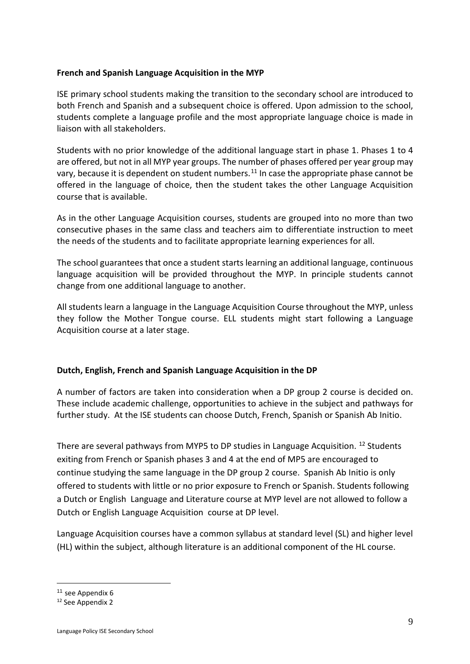#### **French and Spanish Language Acquisition in the MYP**

ISE primary school students making the transition to the secondary school are introduced to both French and Spanish and a subsequent choice is offered. Upon admission to the school, students complete a language profile and the most appropriate language choice is made in liaison with all stakeholders.

Students with no prior knowledge of the additional language start in phase 1. Phases 1 to 4 are offered, but not in all MYP year groups. The number of phases offered per year group may vary, because it is dependent on student numbers.<sup>[11](#page-12-0)</sup> In case the appropriate phase cannot be offered in the language of choice, then the student takes the other Language Acquisition course that is available.

As in the other Language Acquisition courses, students are grouped into no more than two consecutive phases in the same class and teachers aim to differentiate instruction to meet the needs of the students and to facilitate appropriate learning experiences for all.

The school guarantees that once a student starts learning an additional language, continuous language acquisition will be provided throughout the MYP. In principle students cannot change from one additional language to another.

All students learn a language in the Language Acquisition Course throughout the MYP, unless they follow the Mother Tongue course. ELL students might start following a Language Acquisition course at a later stage.

#### **Dutch, English, French and Spanish Language Acquisition in the DP**

A number of factors are taken into consideration when a DP group 2 course is decided on. These include academic challenge, opportunities to achieve in the subject and pathways for further study. At the ISE students can choose Dutch, French, Spanish or Spanish Ab Initio.

There are several pathways from MYP5 to DP studies in Language Acquisition. <sup>12</sup> Students exiting from French or Spanish phases 3 and 4 at the end of MP5 are encouraged to continue studying the same language in the DP group 2 course. Spanish Ab Initio is only offered to students with little or no prior exposure to French or Spanish. Students following a Dutch or English Language and Literature course at MYP level are not allowed to follow a Dutch or English Language Acquisition course at DP level.

Language Acquisition courses have a common syllabus at standard level (SL) and higher level (HL) within the subject, although literature is an additional component of the HL course.

<span id="page-12-1"></span><span id="page-12-0"></span><sup>&</sup>lt;sup>11</sup> see Appendix 6<br> $12$  See Appendix 2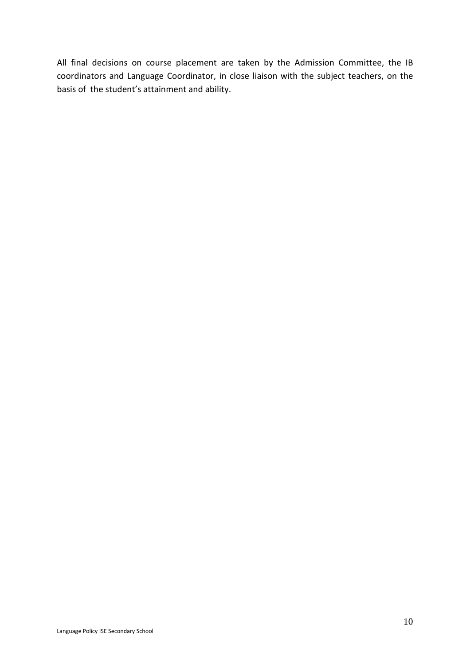All final decisions on course placement are taken by the Admission Committee, the IB coordinators and Language Coordinator, in close liaison with the subject teachers, on the basis of the student's attainment and ability.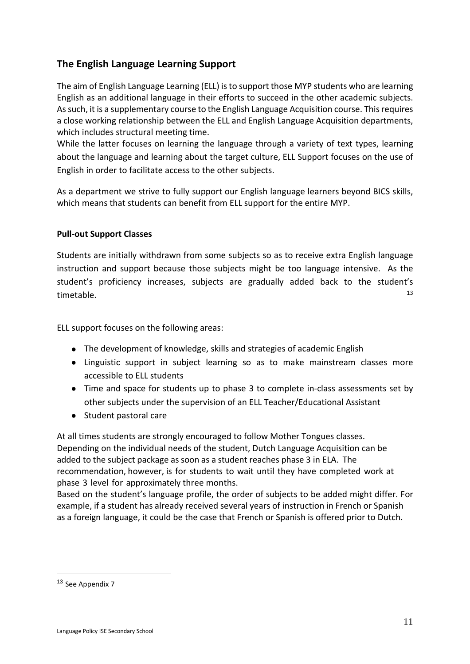# **The English Language Learning Support**

The aim of English Language Learning (ELL) isto support those MYP students who are learning English as an additional language in their efforts to succeed in the other academic subjects. Assuch, it is a supplementary course to the English Language Acquisition course. Thisrequires a close working relationship between the ELL and English Language Acquisition departments, which includes structural meeting time.

While the latter focuses on learning the language through a variety of text types, learning about the language and learning about the target culture, ELL Support focuses on the use of English in order to facilitate access to the other subjects.

As a department we strive to fully support our English language learners beyond BICS skills, which means that students can benefit from ELL support for the entire MYP.

## **Pull-out Support Classes**

Students are initially withdrawn from some subjects so as to receive extra English language instruction and support because those subjects might be too language intensive. As the student's proficiency increases, subjects are gradually added back to the student's  $timetable.$   $13$ 

ELL support focuses on the following areas:

- The development of knowledge, skills and strategies of academic English
- Linguistic support in subject learning so as to make mainstream classes more accessible to ELL students
- Time and space for students up to phase 3 to complete in-class assessments set by other subjects under the supervision of an ELL Teacher/Educational Assistant
- Student pastoral care

At all times students are strongly encouraged to follow Mother Tongues classes. Depending on the individual needs of the student, Dutch Language Acquisition can be added to the subject package as soon as a student reaches phase 3 in ELA. The recommendation, however, is for students to wait until they have completed work at phase 3 level for approximately three months.

Based on the student's language profile, the order of subjects to be added might differ. For example, if a student has already received several years of instruction in French or Spanish as a foreign language, it could be the case that French or Spanish is offered prior to Dutch.

<span id="page-14-0"></span><sup>13</sup> See Appendix 7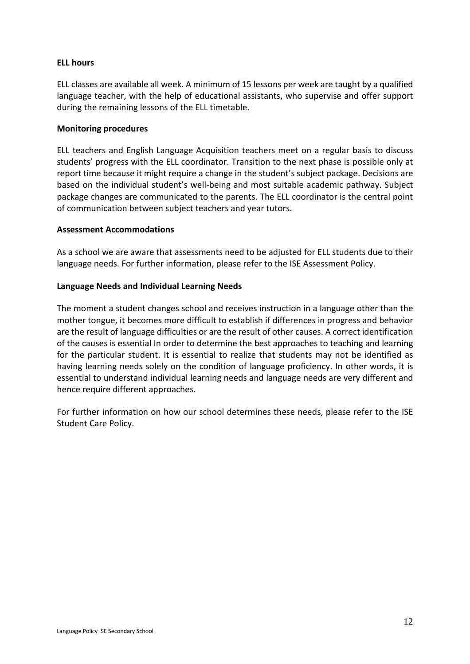## **ELL hours**

ELL classes are available all week. A minimum of 15 lessons per week are taught by a qualified language teacher, with the help of educational assistants, who supervise and offer support during the remaining lessons of the ELL timetable.

#### **Monitoring procedures**

ELL teachers and English Language Acquisition teachers meet on a regular basis to discuss students' progress with the ELL coordinator. Transition to the next phase is possible only at report time because it might require a change in the student's subject package. Decisions are based on the individual student's well-being and most suitable academic pathway. Subject package changes are communicated to the parents. The ELL coordinator is the central point of communication between subject teachers and year tutors.

## **Assessment Accommodations**

As a school we are aware that assessments need to be adjusted for ELL students due to their language needs. For further information, please refer to the ISE Assessment Policy.

## **Language Needs and Individual Learning Needs**

The moment a student changes school and receives instruction in a language other than the mother tongue, it becomes more difficult to establish if differences in progress and behavior are the result of language difficulties or are the result of other causes. A correct identification of the causes is essential In order to determine the best approaches to teaching and learning for the particular student. It is essential to realize that students may not be identified as having learning needs solely on the condition of language proficiency. In other words, it is essential to understand individual learning needs and language needs are very different and hence require different approaches.

For further information on how our school determines these needs, please refer to the ISE Student Care Policy.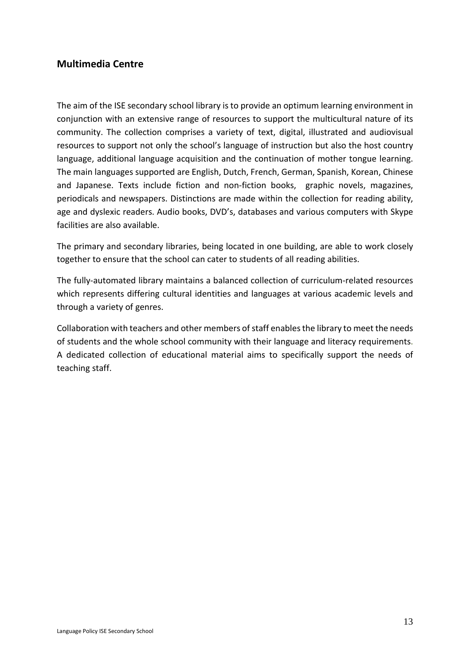## **Multimedia Centre**

The aim of the ISE secondary school library is to provide an optimum learning environment in conjunction with an extensive range of resources to support the multicultural nature of its community. The collection comprises a variety of text, digital, illustrated and audiovisual resources to support not only the school's language of instruction but also the host country language, additional language acquisition and the continuation of mother tongue learning. The main languages supported are English, Dutch, French, German, Spanish, Korean, Chinese and Japanese. Texts include fiction and non-fiction books, graphic novels, magazines, periodicals and newspapers. Distinctions are made within the collection for reading ability, age and dyslexic readers. Audio books, DVD's, databases and various computers with Skype facilities are also available.

The primary and secondary libraries, being located in one building, are able to work closely together to ensure that the school can cater to students of all reading abilities.

The fully-automated library maintains a balanced collection of curriculum-related resources which represents differing cultural identities and languages at various academic levels and through a variety of genres.

Collaboration with teachers and other members of staff enables the library to meet the needs of students and the whole school community with their language and literacy requirements. A dedicated collection of educational material aims to specifically support the needs of teaching staff.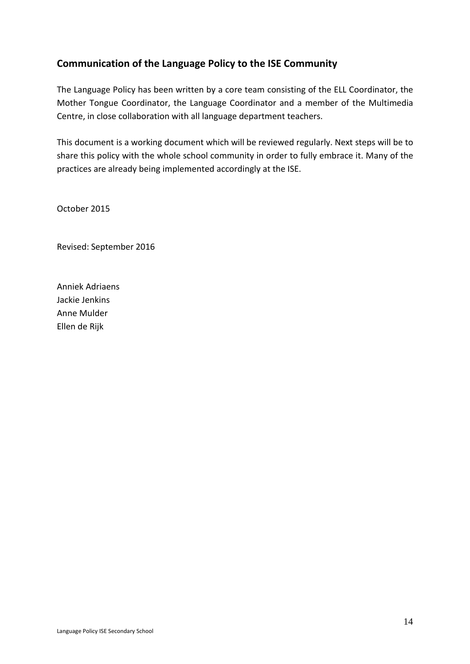# **Communication of the Language Policy to the ISE Community**

The Language Policy has been written by a core team consisting of the ELL Coordinator, the Mother Tongue Coordinator, the Language Coordinator and a member of the Multimedia Centre, in close collaboration with all language department teachers.

This document is a working document which will be reviewed regularly. Next steps will be to share this policy with the whole school community in order to fully embrace it. Many of the practices are already being implemented accordingly at the ISE.

October 2015

Revised: September 2016

Anniek Adriaens Jackie Jenkins Anne Mulder Ellen de Rijk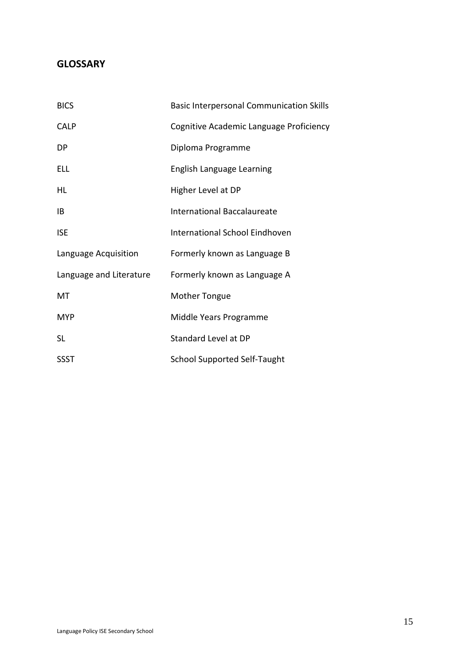# **GLOSSARY**

| <b>BICS</b>             | <b>Basic Interpersonal Communication Skills</b> |
|-------------------------|-------------------------------------------------|
| <b>CALP</b>             | Cognitive Academic Language Proficiency         |
| DP                      | Diploma Programme                               |
| ELL                     | English Language Learning                       |
| HL                      | Higher Level at DP                              |
| ΙB                      | <b>International Baccalaureate</b>              |
| <b>ISE</b>              | International School Eindhoven                  |
| Language Acquisition    | Formerly known as Language B                    |
| Language and Literature | Formerly known as Language A                    |
| MT                      | <b>Mother Tongue</b>                            |
| <b>MYP</b>              | Middle Years Programme                          |
| <b>SL</b>               | Standard Level at DP                            |
| <b>SSST</b>             | <b>School Supported Self-Taught</b>             |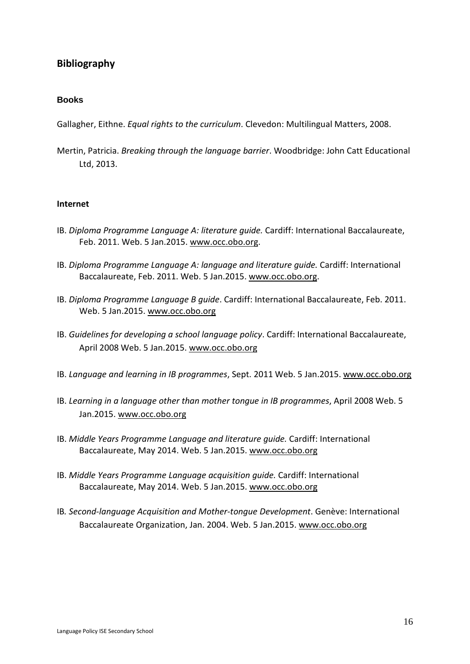## **Bibliography**

### **Books**

Gallagher, Eithne. *Equal rights to the curriculum*. Clevedon: Multilingual Matters, 2008.

Mertin, Patricia. *Breaking through the language barrier*. Woodbridge: John Catt Educational Ltd, 2013.

#### **Internet**

- IB. *Diploma Programme Language A: literature guide.* Cardiff: International Baccalaureate, Feb. 2011. Web. 5 Jan.2015. [www.occ.obo.org.](http://www.occ.obo.org/)
- IB. *Diploma Programme Language A: language and literature guide.* Cardiff: International Baccalaureate, Feb. 2011. Web. 5 Jan.2015. www.occ.obo.org.
- IB. *Diploma Programme Language B guide*. Cardiff: International Baccalaureate, Feb. 2011. Web. 5 Jan.2015. [www.occ.obo.org](http://www.occ.obo.org/)
- IB. *Guidelines for developing a school language policy*. Cardiff: International Baccalaureate, April 2008 Web. 5 Jan.2015. [www.occ.obo.org](http://www.occ.obo.org/)
- IB. *Language and learning in IB programmes*, Sept. 2011 Web. 5 Jan.2015. [www.occ.obo.org](http://www.occ.obo.org/)
- IB. *Learning in a language other than mother tongue in IB programmes*, April 2008 Web. 5 Jan.2015. [www.occ.obo.org](http://www.occ.obo.org/)
- IB. *Middle Years Programme Language and literature guide.* Cardiff: International Baccalaureate, May 2014. Web. 5 Jan.2015. [www.occ.obo.org](http://www.occ.obo.org/)
- IB. *Middle Years Programme Language acquisition guide.* Cardiff: International Baccalaureate, May 2014. Web. 5 Jan.2015. [www.occ.obo.org](http://www.occ.obo.org/)
- IB*. Second-language Acquisition and Mother-tongue Development*. Genève: International Baccalaureate Organization, Jan. 2004. Web. 5 Jan.2015. [www.occ.obo.org](http://www.occ.obo.org/)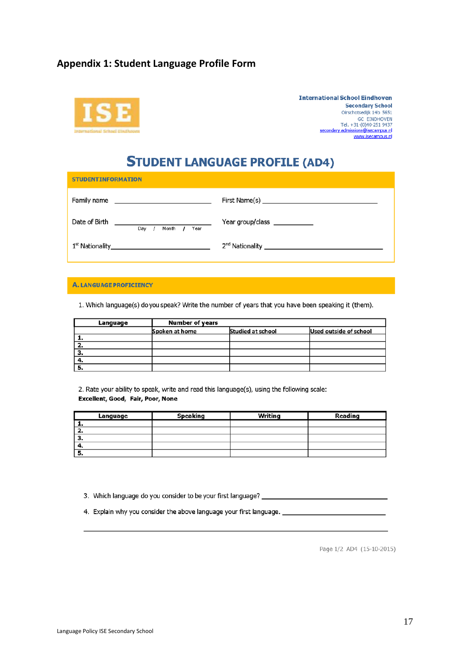## **Appendix 1: Student Language Profile Form**



**International School Eindhoven Secondary School** Oirschotsedijk 14b 5651 GrandHoVEN<br>GC EINDHOVEN<br>Tel. +31-(0)40-251 9437<br><u>secondary.admissions@isecampus.nl</u><br>www.isecampus.nl

# **STUDENT LANGUAGE PROFILE (AD4)**

| <b>STUDENTINFORMATION</b>                                                                  |                                                               |  |  |
|--------------------------------------------------------------------------------------------|---------------------------------------------------------------|--|--|
| Family name<br>the control of the control of the control of the control of                 |                                                               |  |  |
| Date of Birth<br><u> 1989 - Johann Barbara, martxa alemaniar a</u><br>Month<br>Year<br>Dav | Year group/class _____________                                |  |  |
| 1 <sup>st</sup> Nationality_<br>the control of the control of the control of the           | 2 <sup>nd</sup> Nationality _________________________________ |  |  |

#### A. LANGUAGE PROFICIENCY

1. Which language(s) do you speak? Write the number of years that you have been speaking it (them).

| Language | <b>Number of years</b> |                   |                        |
|----------|------------------------|-------------------|------------------------|
|          | Spoken at home         | Studied at school | Used outside of school |
| . .      |                        |                   |                        |
|          |                        |                   |                        |
|          |                        |                   |                        |
|          |                        |                   |                        |
|          |                        |                   |                        |

2. Rate your ability to speak, write and read this language(s), using the following scale: Excellent, Good, Fair, Poor, None

| Language | <b>Speaking</b> | Writing | Reading |
|----------|-----------------|---------|---------|
|          |                 |         |         |
| 2.       |                 |         |         |
| з.       |                 |         |         |
| ┱.       |                 |         |         |
| э.       |                 |         |         |

3. Which language do you consider to be your first language? \_\_\_\_\_\_\_\_\_\_\_\_\_\_\_\_\_\_\_

4. Explain why you consider the above language your first language. \_

Page 1/2 AD4 (15-10-2015)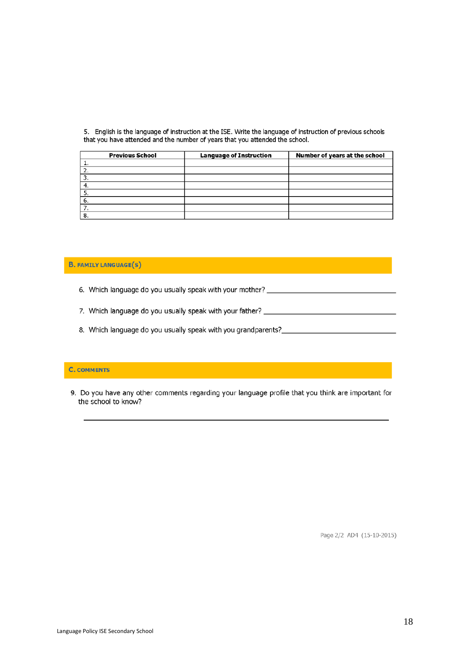5. English is the language of instruction at the ISE. Write the language of instruction of previous schools that you have attended and the number of years that you attended the school.

| <b>Previous School</b> | <b>Language of Instruction</b> | Number of years at the school |
|------------------------|--------------------------------|-------------------------------|
|                        |                                |                               |
|                        |                                |                               |
|                        |                                |                               |
|                        |                                |                               |
|                        |                                |                               |
| 6.                     |                                |                               |
|                        |                                |                               |
| 8.                     |                                |                               |

#### **B. FAMILY LANGUAGE(S)**

- 6. Which language do you usually speak with your mother? \_\_\_\_\_\_\_\_\_\_\_\_\_\_\_\_\_\_\_\_\_\_\_\_
- 
- 8. Which language do you usually speak with you grandparents?\_\_\_\_\_\_\_\_\_\_\_\_\_\_\_\_\_\_\_\_

#### **C. COMMENTS**

9. Do you have any other comments regarding your language profile that you think are important for the school to know?

Page 2/2 AD4 (15-10-2015)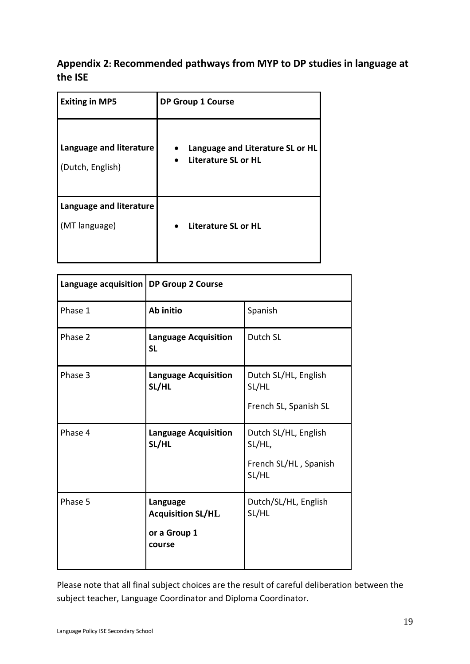# **Appendix 2: Recommended pathways from MYP to DP studies in language at the ISE**

| <b>Exiting in MP5</b>                       | <b>DP Group 1 Course</b>                                |  |  |  |
|---------------------------------------------|---------------------------------------------------------|--|--|--|
| Language and literature<br>(Dutch, English) | Language and Literature SL or HL<br>Literature SL or HL |  |  |  |
| Language and literature<br>(MT language)    | Literature SL or HL                                     |  |  |  |

| Language acquisition   DP Group 2 Course |                                                                |                                                                  |  |
|------------------------------------------|----------------------------------------------------------------|------------------------------------------------------------------|--|
| Phase 1                                  | Ab initio                                                      | Spanish                                                          |  |
| Phase 2                                  | <b>Language Acquisition</b><br><b>SL</b>                       | Dutch SL                                                         |  |
| Phase 3                                  | <b>Language Acquisition</b><br>SL/HL                           | Dutch SL/HL, English<br>SL/HL<br>French SL, Spanish SL           |  |
| Phase 4                                  | <b>Language Acquisition</b><br>SL/HL                           | Dutch SL/HL, English<br>SL/HL,<br>French SL/HL, Spanish<br>SL/HL |  |
| Phase 5                                  | Language<br><b>Acquisition SL/HL</b><br>or a Group 1<br>course | Dutch/SL/HL, English<br>SL/HL                                    |  |

Please note that all final subject choices are the result of careful deliberation between the subject teacher, Language Coordinator and Diploma Coordinator.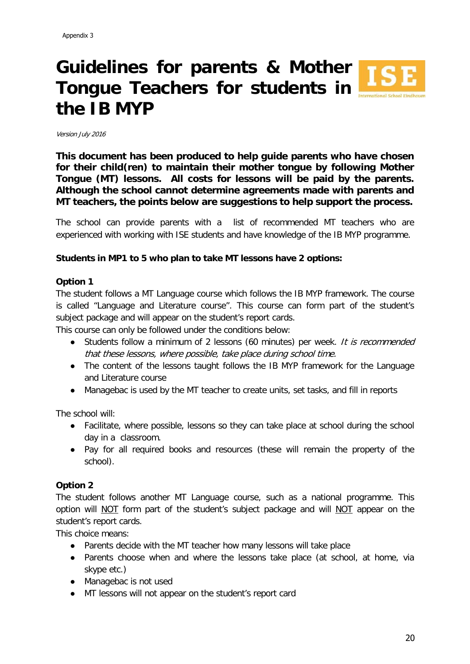# **Guidelines for parents & Mother ISE Tongue Teachers for students in the IB MYP**



**This document has been produced to help guide parents who have chosen for their child(ren) to maintain their mother tongue by following Mother Tongue (MT) lessons. All costs for lessons will be paid by the parents. Although the school cannot determine agreements made with parents and MT teachers, the points below are suggestions to help support the process.**

The school can provide parents with a list of recommended MT teachers who are experienced with working with ISE students and have knowledge of the IB MYP programme.

#### **Students in MP1 to 5 who plan to take MT lessons have 2 options:**

#### **Option 1**

The student follows a MT Language course which follows the IB MYP framework. The course is called "Language and Literature course". This course can form part of the student's subject package and will appear on the student's report cards.

This course can only be followed under the conditions below:

- Students follow a minimum of 2 lessons (60 minutes) per week. It is recommended that these lessons, where possible, take place during school time.
- The content of the lessons taught follows the IB MYP framework for the Language and Literature course
- Managebac is used by the MT teacher to create units, set tasks, and fill in reports

The school will:

- Facilitate, where possible, lessons so they can take place at school during the school day in a classroom.
- Pay for all required books and resources (these will remain the property of the school).

#### **Option 2**

The student follows another MT Language course, such as a national programme. This option will NOT form part of the student's subject package and will NOT appear on the student's report cards.

This choice means:

- Parents decide with the MT teacher how many lessons will take place
- Parents choose when and where the lessons take place (at school, at home, via skype etc.)
- Managebac is not used
- MT lessons will not appear on the student's report card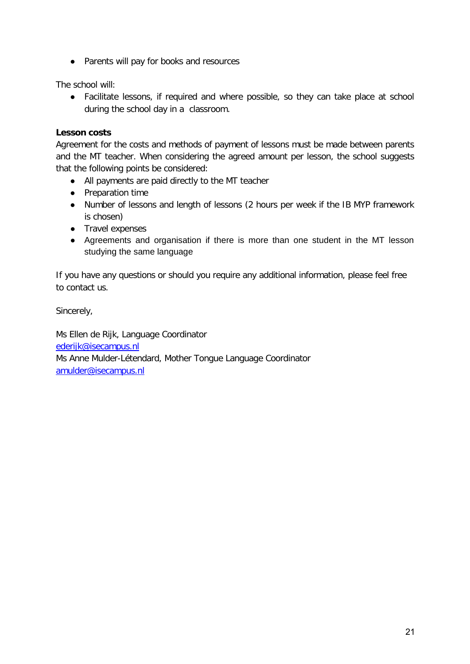● Parents will pay for books and resources

The school will:

● Facilitate lessons, if required and where possible, so they can take place at school during the school day in a classroom.

## **Lesson costs**

Agreement for the costs and methods of payment of lessons must be made between parents and the MT teacher. When considering the agreed amount per lesson, the school suggests that the following points be considered:

- All payments are paid directly to the MT teacher
- Preparation time
- Number of lessons and length of lessons (2 hours per week if the IB MYP framework is chosen)
- Travel expenses
- Agreements and organisation if there is more than one student in the MT lesson studying the same language

If you have any questions or should you require any additional information, please feel free to contact us.

Sincerely,

Ms Ellen de Rijk, Language Coordinator [ederijk@isecampus.nl](mailto:ederijk@isecampus.nl) Ms Anne Mulder-Létendard, Mother Tongue Language Coordinator [amulder@isecampus.nl](mailto:amulder@isecampus.nl)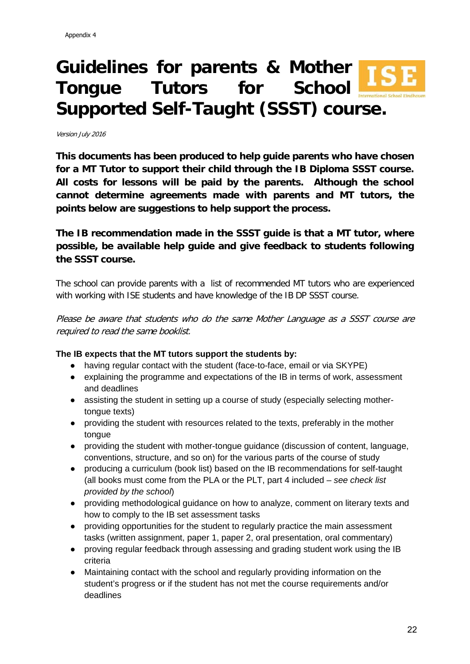# **Guidelines for parents & Mother Tongue Tutors for School Supported Self-Taught (SSST) course.**

Version July 2016

**This documents has been produced to help guide parents who have chosen for a MT Tutor to support their child through the IB Diploma SSST course. All costs for lessons will be paid by the parents. Although the school cannot determine agreements made with parents and MT tutors, the points below are suggestions to help support the process.** 

**The IB recommendation made in the SSST guide is that a MT tutor, where possible, be available help guide and give feedback to students following the SSST course.**

The school can provide parents with a list of recommended MT tutors who are experienced with working with ISE students and have knowledge of the IB DP SSST course.

Please be aware that students who do the same Mother Language as a SSST course are required to read the same booklist.

#### **The IB expects that the MT tutors support the students by:**

- having regular contact with the student (face-to-face, email or via SKYPE)
- explaining the programme and expectations of the IB in terms of work, assessment and deadlines
- assisting the student in setting up a course of study (especially selecting mothertongue texts)
- providing the student with resources related to the texts, preferably in the mother tongue
- providing the student with mother-tongue guidance (discussion of content, language, conventions, structure, and so on) for the various parts of the course of study
- producing a curriculum (book list) based on the IB recommendations for self-taught (all books must come from the PLA or the PLT, part 4 included – *see check list provided by the school*)
- providing methodological guidance on how to analyze, comment on literary texts and how to comply to the IB set assessment tasks
- providing opportunities for the student to regularly practice the main assessment tasks (written assignment, paper 1, paper 2, oral presentation, oral commentary)
- proving regular feedback through assessing and grading student work using the IB criteria
- Maintaining contact with the school and regularly providing information on the student's progress or if the student has not met the course requirements and/or deadlines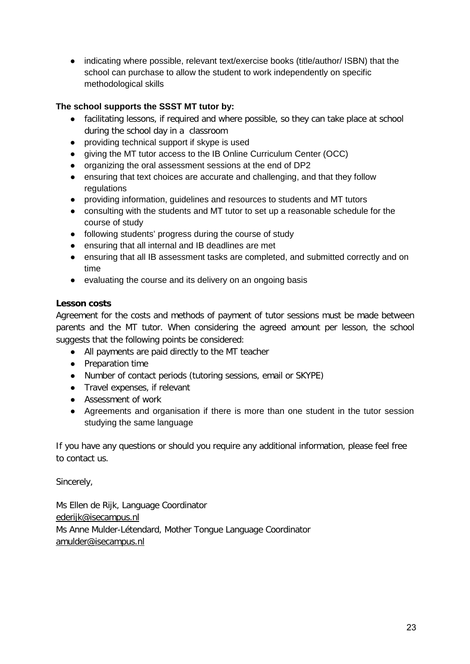● indicating where possible, relevant text/exercise books (title/author/ ISBN) that the school can purchase to allow the student to work independently on specific methodological skills

## **The school supports the SSST MT tutor by:**

- facilitating lessons, if required and where possible, so they can take place at school during the school day in a classroom
- providing technical support if skype is used
- giving the MT tutor access to the IB Online Curriculum Center (OCC)
- organizing the oral assessment sessions at the end of DP2
- ensuring that text choices are accurate and challenging, and that they follow regulations
- providing information, guidelines and resources to students and MT tutors
- consulting with the students and MT tutor to set up a reasonable schedule for the course of study
- following students' progress during the course of study
- ensuring that all internal and IB deadlines are met
- ensuring that all IB assessment tasks are completed, and submitted correctly and on time
- evaluating the course and its delivery on an ongoing basis

## **Lesson costs**

Agreement for the costs and methods of payment of tutor sessions must be made between parents and the MT tutor. When considering the agreed amount per lesson, the school suggests that the following points be considered:

- All payments are paid directly to the MT teacher
- Preparation time
- Number of contact periods (tutoring sessions, email or SKYPE)
- Travel expenses, if relevant
- Assessment of work
- Agreements and organisation if there is more than one student in the tutor session studying the same language

If you have any questions or should you require any additional information, please feel free to contact us.

Sincerely,

Ms Ellen de Rijk, Language Coordinator [ederijk@isecampus.nl](mailto:ederijk@isecampus.nl) Ms Anne Mulder-Létendard, Mother Tongue Language Coordinator [amulder@isecampus.nl](mailto:amulder@isecampus.nl)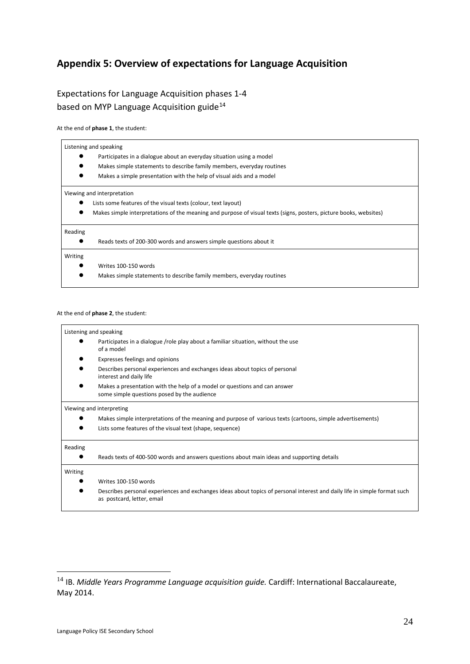# **Appendix 5: Overview of expectations for Language Acquisition**

## Expectations for Language Acquisition phases 1-4 based on MYP Language Acquisition guide<sup>[14](#page-27-0)</sup>

At the end of **phase 1**, the student:

# Listening and speaking ● Participates in a dialogue about an everyday situation using a model Makes simple statements to describe family members, everyday routines Makes a simple presentation with the help of visual aids and a model Viewing and interpretation ● Lists some features of the visual texts (colour, text layout) Makes simple interpretations of the meaning and purpose of visual texts (signs, posters, picture books, websites) Reading ● Reads texts of 200-300 words and answers simple questions about it Writing Writes 100-150 words ● Makes simple statements to describe family members, everyday routines

#### At the end of **phase 2**, the student:

|         | Listening and speaking                                                                                                                                  |
|---------|---------------------------------------------------------------------------------------------------------------------------------------------------------|
|         | Participates in a dialogue /role play about a familiar situation, without the use<br>of a model                                                         |
|         | Expresses feelings and opinions                                                                                                                         |
|         | Describes personal experiences and exchanges ideas about topics of personal<br>interest and daily life                                                  |
|         | Makes a presentation with the help of a model or questions and can answer<br>some simple questions posed by the audience                                |
|         | Viewing and interpreting                                                                                                                                |
|         | Makes simple interpretations of the meaning and purpose of various texts (cartoons, simple advertisements)                                              |
|         | Lists some features of the visual text (shape, sequence)                                                                                                |
| Reading |                                                                                                                                                         |
|         | Reads texts of 400-500 words and answers questions about main ideas and supporting details                                                              |
| Writing |                                                                                                                                                         |
|         | Writes 100-150 words                                                                                                                                    |
|         | Describes personal experiences and exchanges ideas about topics of personal interest and daily life in simple format such<br>as postcard, letter, email |
|         |                                                                                                                                                         |

<span id="page-27-0"></span><sup>14</sup> IB. *Middle Years Programme Language acquisition guide.* Cardiff: International Baccalaureate, May 2014.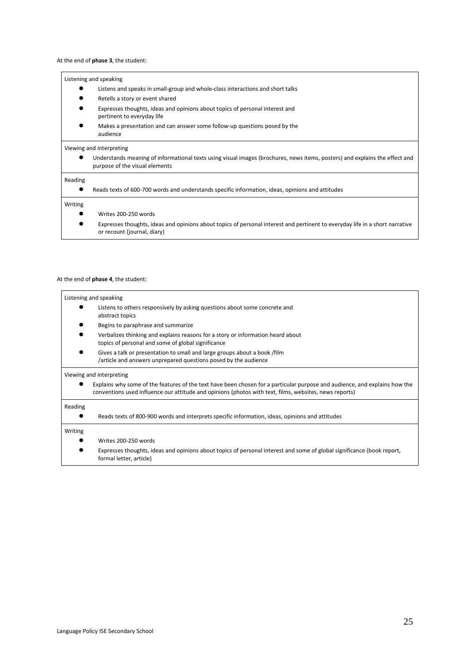#### At the end of **phase 3**, the student:

#### Listening and speaking

- Listens and speaks in small-group and whole-class interactions and short talks
- Retells a story or event shared
- Expresses thoughts, ideas and opinions about topics of personal interest and pertinent to everyday life
- Makes a presentation and can answer some follow-up questions posed by the audience

#### Viewing and interpreting

Understands meaning of informational texts using visual images (brochures, news items, posters) and explains the effect and purpose of the visual elements

#### Reading

#### Reads texts of 600-700 words and understands specific information, ideas, opinions and attitudes

#### Writing

- Writes 200-250 words
- Expresses thoughts, ideas and opinions about topics of personal interest and pertinent to everyday life in a short narrative or recount (journal, diary)

#### At the end of **phase 4**, the student:

#### Listening and speaking

- Listens to others responsively by asking questions about some concrete and abstract topics
- Begins to paraphrase and summarize
- Verbalizes thinking and explains reasons for a story or information heard about topics of personal and some of global significance
- Gives a talk or presentation to small and large groups about a book /film /article and answers unprepared questions posed by the audience

#### Viewing and interpreting

Explains why some of the features of the text have been chosen for a particular purpose and audience, and explains how the conventions used influence our attitude and opinions (photos with text, films, websites, news reports)

#### Reading

| <b>Reading</b> | Reads texts of 800-900 words and interprets specific information, ideas, opinions and attitudes                                                   |
|----------------|---------------------------------------------------------------------------------------------------------------------------------------------------|
| Writing        |                                                                                                                                                   |
|                | Writes 200-250 words                                                                                                                              |
|                | Expresses thoughts, ideas and opinions about topics of personal interest and some of global significance (book report,<br>formal letter, article) |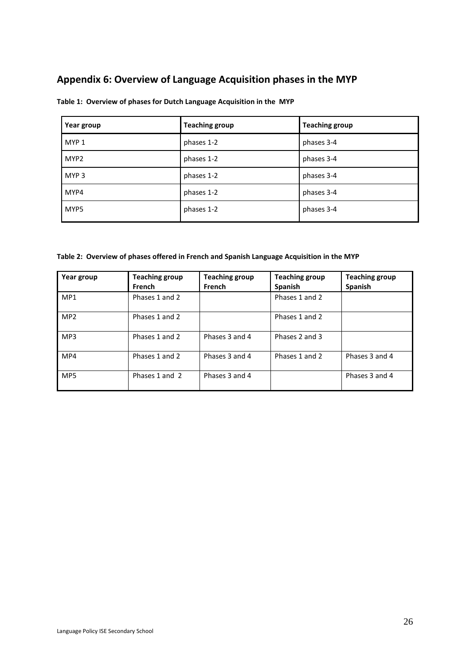# **Appendix 6: Overview of Language Acquisition phases in the MYP**

| Year group       | <b>Teaching group</b> | <b>Teaching group</b> |
|------------------|-----------------------|-----------------------|
| MYP 1            | phases 1-2            | phases 3-4            |
| MYP <sub>2</sub> | phases 1-2            | phases 3-4            |
| MYP <sub>3</sub> | phases 1-2            | phases 3-4            |
| MYP4             | phases 1-2            | phases 3-4            |
| MYP5             | phases 1-2            | phases 3-4            |

**Table 1: Overview of phases for Dutch Language Acquisition in the MYP**

**Table 2: Overview of phases offered in French and Spanish Language Acquisition in the MYP**

| Year group      | <b>Teaching group</b><br><b>French</b> | <b>Teaching group</b><br>French | <b>Teaching group</b><br><b>Spanish</b> | <b>Teaching group</b><br><b>Spanish</b> |
|-----------------|----------------------------------------|---------------------------------|-----------------------------------------|-----------------------------------------|
| MP <sub>1</sub> | Phases 1 and 2                         |                                 | Phases 1 and 2                          |                                         |
| MP <sub>2</sub> | Phases 1 and 2                         |                                 | Phases 1 and 2                          |                                         |
| MP3             | Phases 1 and 2                         | Phases 3 and 4                  | Phases 2 and 3                          |                                         |
| MP4             | Phases 1 and 2                         | Phases 3 and 4                  | Phases 1 and 2                          | Phases 3 and 4                          |
| MP <sub>5</sub> | Phases 1 and 2                         | Phases 3 and 4                  |                                         | Phases 3 and 4                          |